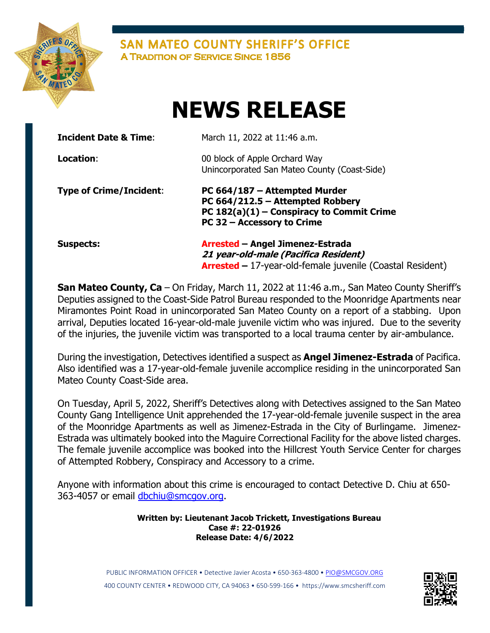

**SAN MATEO COUNTY SHERIFF'S OFFICE A TRADITION OF SERVICE SINCE 1856** 

## NEWS RELEASE

| <b>Incident Date &amp; Time:</b> | March 11, 2022 at 11:46 a.m.                                                                                                                   |
|----------------------------------|------------------------------------------------------------------------------------------------------------------------------------------------|
| Location:                        | 00 block of Apple Orchard Way<br>Unincorporated San Mateo County (Coast-Side)                                                                  |
| <b>Type of Crime/Incident:</b>   | PC 664/187 - Attempted Murder<br>PC 664/212.5 - Attempted Robbery<br>PC $182(a)(1)$ – Conspiracy to Commit Crime<br>PC 32 - Accessory to Crime |
| <b>Suspects:</b>                 | Arrested - Angel Jimenez-Estrada<br>21 year-old-male (Pacifica Resident)<br><b>Arrested - 17-year-old-female juvenile (Coastal Resident)</b>   |

San Mateo County, Ca – On Friday, March 11, 2022 at 11:46 a.m., San Mateo County Sheriff's Deputies assigned to the Coast-Side Patrol Bureau responded to the Moonridge Apartments near Miramontes Point Road in unincorporated San Mateo County on a report of a stabbing. Upon arrival, Deputies located 16-year-old-male juvenile victim who was injured. Due to the severity of the injuries, the juvenile victim was transported to a local trauma center by air-ambulance.

During the investigation, Detectives identified a suspect as **Angel Jimenez-Estrada** of Pacifica. Also identified was a 17-year-old-female juvenile accomplice residing in the unincorporated San Mateo County Coast-Side area.

On Tuesday, April 5, 2022, Sheriff's Detectives along with Detectives assigned to the San Mateo County Gang Intelligence Unit apprehended the 17-year-old-female juvenile suspect in the area of the Moonridge Apartments as well as Jimenez-Estrada in the City of Burlingame. Jimenez-Estrada was ultimately booked into the Maguire Correctional Facility for the above listed charges. The female juvenile accomplice was booked into the Hillcrest Youth Service Center for charges of Attempted Robbery, Conspiracy and Accessory to a crime.

Anyone with information about this crime is encouraged to contact Detective D. Chiu at 650- 363-4057 or email dbchiu@smcgov.org.

> Written by: Lieutenant Jacob Trickett, Investigations Bureau Case #: 22-01926 Release Date: 4/6/2022